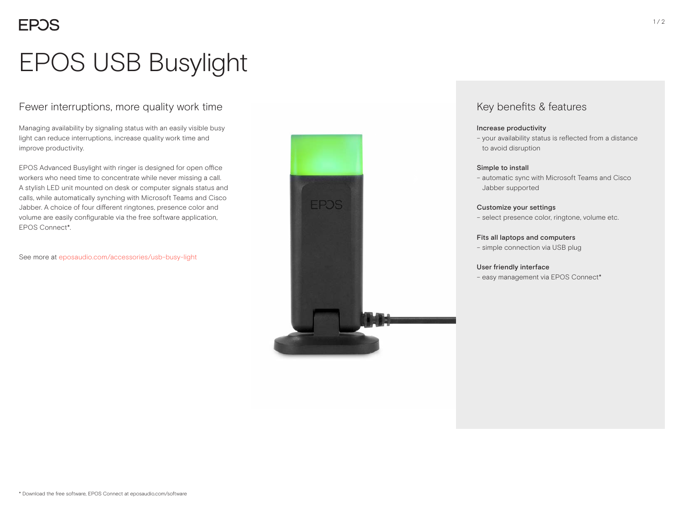# EPOS USB Busylight

## Fewer interruptions, more quality work time

Managing availability by signaling status with an easily visible busy light can reduce interruptions, increase quality work time and improve productivity.

EPOS Advanced Busylight with ringer is designed for open office workers who need time to concentrate while never missing a call. A stylish LED unit mounted on desk or computer signals status and calls, while automatically synching with Microsoft Teams and Cisco Jabber. A choice of four different ringtones, presence color and volume are easily configurable via the free software application, EPOS Connect\*.

See more at eposaudio.com/accessories/usb-busy-light



## Key benefits & features

### Increase productivity

– your availability status is reflected from a distance to avoid disruption

### Simple to install

– automatic sync with Microsoft Teams and Cisco Jabber supported

### Customize your settings

– select presence color, ringtone, volume etc.

### Fits all laptops and computers

– simple connection via USB plug

### User friendly interface

– easy management via EPOS Connect\*